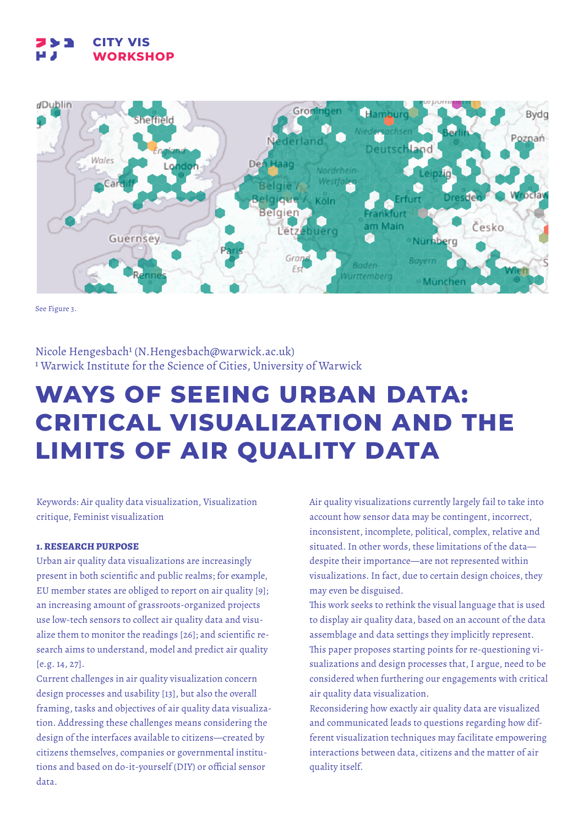### **733 CITY VIS WORKSHOP**



See Figure 3.

Nicole Hengesbach1 (N.Hengesbach@warwick.ac.uk) 1 Warwick Institute for the Science of Cities, University of Warwick

# **WAYS OF SEEING URBAN DATA: CRITICAL VISUALIZATION AND THE LIMITS OF AIR QUALITY DATA**

Keywords: Air quality data visualization, Visualization critique, Feminist visualization

# **1. RESEARCH PURPOSE**

Urban air quality data visualizations are increasingly present in both scientific and public realms; for example, EU member states are obliged to report on air quality [9]; an increasing amount of grassroots-organized projects use low-tech sensors to collect air quality data and visualize them to monitor the readings [26]; and scientific research aims to understand, model and predict air quality [e.g. 14, 27].

Current challenges in air quality visualization concern design processes and usability [13], but also the overall framing, tasks and objectives of air quality data visualization. Addressing these challenges means considering the design of the interfaces available to citizens—created by citizens themselves, companies or governmental institutions and based on do-it-yourself (DIY) or official sensor data.

Air quality visualizations currently largely fail to take into account how sensor data may be contingent, incorrect, inconsistent, incomplete, political, complex, relative and situated. In other words, these limitations of the data despite their importance—are not represented within visualizations. In fact, due to certain design choices, they may even be disguised.

This work seeks to rethink the visual language that is used to display air quality data, based on an account of the data assemblage and data settings they implicitly represent. This paper proposes starting points for re-questioning visualizations and design processes that, I argue, need to be considered when furthering our engagements with critical air quality data visualization.

Reconsidering how exactly air quality data are visualized and communicated leads to questions regarding how different visualization techniques may facilitate empowering interactions between data, citizens and the matter of air quality itself.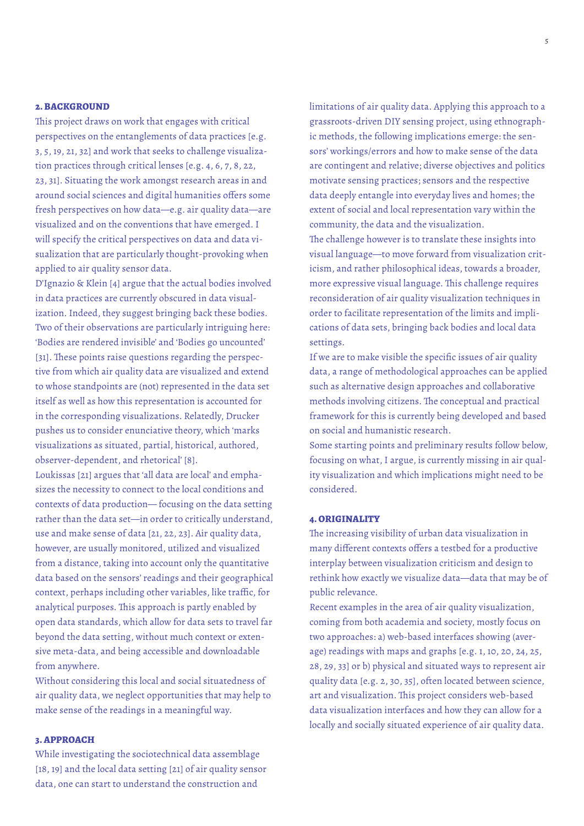## **2. BACKGROUND**

This project draws on work that engages with critical perspectives on the entanglements of data practices [e.g. 3, 5, 19, 21, 32] and work that seeks to challenge visualization practices through critical lenses [e.g. 4, 6, 7, 8, 22, 23, 31]. Situating the work amongst research areas in and around social sciences and digital humanities offers some fresh perspectives on how data—e.g. air quality data—are visualized and on the conventions that have emerged. I will specify the critical perspectives on data and data visualization that are particularly thought-provoking when applied to air quality sensor data.

D'Ignazio & Klein [4] argue that the actual bodies involved in data practices are currently obscured in data visualization. Indeed, they suggest bringing back these bodies. Two of their observations are particularly intriguing here: 'Bodies are rendered invisible' and 'Bodies go uncounted' [31]. These points raise questions regarding the perspective from which air quality data are visualized and extend to whose standpoints are (not) represented in the data set itself as well as how this representation is accounted for in the corresponding visualizations. Relatedly, Drucker pushes us to consider enunciative theory, which 'marks visualizations as situated, partial, historical, authored, observer-dependent, and rhetorical' [8].

Loukissas [21] argues that 'all data are local' and emphasizes the necessity to connect to the local conditions and contexts of data production— focusing on the data setting rather than the data set—in order to critically understand, use and make sense of data [21, 22, 23]. Air quality data, however, are usually monitored, utilized and visualized from a distance, taking into account only the quantitative data based on the sensors' readings and their geographical context, perhaps including other variables, like traffic, for analytical purposes. This approach is partly enabled by open data standards, which allow for data sets to travel far beyond the data setting, without much context or extensive meta-data, and being accessible and downloadable from anywhere.

Without considering this local and social situatedness of air quality data, we neglect opportunities that may help to make sense of the readings in a meaningful way.

# **3. APPROACH**

While investigating the sociotechnical data assemblage [18, 19] and the local data setting [21] of air quality sensor data, one can start to understand the construction and

limitations of air quality data. Applying this approach to a grassroots-driven DIY sensing project, using ethnographic methods, the following implications emerge: the sensors' workings/errors and how to make sense of the data are contingent and relative; diverse objectives and politics motivate sensing practices; sensors and the respective data deeply entangle into everyday lives and homes; the extent of social and local representation vary within the community, the data and the visualization.

The challenge however is to translate these insights into visual language—to move forward from visualization criticism, and rather philosophical ideas, towards a broader, more expressive visual language. This challenge requires reconsideration of air quality visualization techniques in order to facilitate representation of the limits and implications of data sets, bringing back bodies and local data settings.

If we are to make visible the specific issues of air quality data, a range of methodological approaches can be applied such as alternative design approaches and collaborative methods involving citizens. The conceptual and practical framework for this is currently being developed and based on social and humanistic research.

Some starting points and preliminary results follow below, focusing on what, I argue, is currently missing in air quality visualization and which implications might need to be considered.

# **4. ORIGINALITY**

The increasing visibility of urban data visualization in many different contexts offers a testbed for a productive interplay between visualization criticism and design to rethink how exactly we visualize data—data that may be of public relevance.

Recent examples in the area of air quality visualization, coming from both academia and society, mostly focus on two approaches: a) web-based interfaces showing (average) readings with maps and graphs [e.g. 1, 10, 20, 24, 25, 28, 29, 33] or b) physical and situated ways to represent air quality data [e.g. 2, 30, 35], often located between science, art and visualization. This project considers web-based data visualization interfaces and how they can allow for a locally and socially situated experience of air quality data.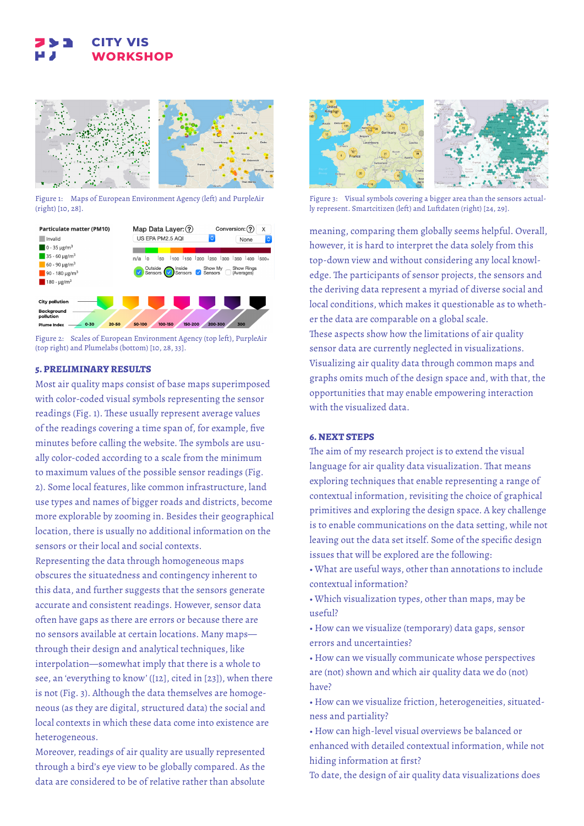# **CITY VIS WORKSHOP**



Figure 1: Maps of European Environment Agency (left) and PurpleAir (right) [10, 28].



Figure 2: Scales of European Environment Agency (top left), PurpleAir (top right) and Plumelabs (bottom) [10, 28, 33].

# **5. PRELIMINARY RESULTS**

Most air quality maps consist of base maps superimposed with color-coded visual symbols representing the sensor readings (Fig. 1). These usually represent average values of the readings covering a time span of, for example, five minutes before calling the website. The symbols are usually color-coded according to a scale from the minimum to maximum values of the possible sensor readings (Fig. 2). Some local features, like common infrastructure, land use types and names of bigger roads and districts, become more explorable by zooming in. Besides their geographical location, there is usually no additional information on the sensors or their local and social contexts.

Representing the data through homogeneous maps obscures the situatedness and contingency inherent to this data, and further suggests that the sensors generate accurate and consistent readings. However, sensor data often have gaps as there are errors or because there are no sensors available at certain locations. Many maps through their design and analytical techniques, like interpolation—somewhat imply that there is a whole to see, an 'everything to know' ([12], cited in [23]), when there is not (Fig. 3). Although the data themselves are homogeneous (as they are digital, structured data) the social and local contexts in which these data come into existence are heterogeneous.

Moreover, readings of air quality are usually represented through a bird's eye view to be globally compared. As the data are considered to be of relative rather than absolute



Figure 3: Visual symbols covering a bigger area than the sensors actually represent. Smartcitizen (left) and Luftdaten (right) [24, 29].

meaning, comparing them globally seems helpful. Overall, however, it is hard to interpret the data solely from this top-down view and without considering any local knowledge. The participants of sensor projects, the sensors and the deriving data represent a myriad of diverse social and local conditions, which makes it questionable as to whether the data are comparable on a global scale. These aspects show how the limitations of air quality sensor data are currently neglected in visualizations. Visualizing air quality data through common maps and graphs omits much of the design space and, with that, the opportunities that may enable empowering interaction with the visualized data.

# **6. NEXT STEPS**

The aim of my research project is to extend the visual language for air quality data visualization. That means exploring techniques that enable representing a range of contextual information, revisiting the choice of graphical primitives and exploring the design space. A key challenge is to enable communications on the data setting, while not leaving out the data set itself. Some of the specific design issues that will be explored are the following:

• What are useful ways, other than annotations to include contextual information?

• Which visualization types, other than maps, may be useful?

• How can we visualize (temporary) data gaps, sensor errors and uncertainties?

• How can we visually communicate whose perspectives are (not) shown and which air quality data we do (not) have?

• How can we visualize friction, heterogeneities, situatedness and partiality?

• How can high-level visual overviews be balanced or enhanced with detailed contextual information, while not hiding information at first?

To date, the design of air quality data visualizations does